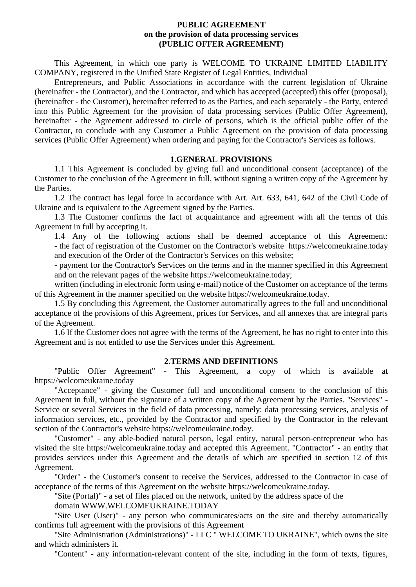### **PUBLIC AGREEMENT on the provision of data processing services (PUBLIC OFFER AGREEMENT)**

This Agreement, in which one party is WELCOME TO UKRAINE LIMITED LIABILITY COMPANY, registered in the Unified State Register of Legal Entities, Individual

Entrepreneurs, and Public Associations in accordance with the current legislation of Ukraine (hereinafter - the Contractor), and the Contractor, and which has accepted (accepted) this offer (proposal), (hereinafter - the Customer), hereinafter referred to as the Parties, and each separately - the Party, entered into this Public Agreement for the provision of data processing services (Public Offer Agreement), hereinafter - the Agreement addressed to circle of persons, which is the official public offer of the Contractor, to conclude with any Customer a Public Agreement on the provision of data processing services (Public Offer Agreement) when ordering and paying for the Contractor's Services as follows.

### **1.GENERAL PROVISIONS**

1.1 This Agreement is concluded by giving full and unconditional consent (acceptance) of the Customer to the conclusion of the Agreement in full, without signing a written copy of the Agreement by the Parties.

1.2 The contract has legal force in accordance with Art. Art. 633, 641, 642 of the Civil Code of Ukraine and is equivalent to the Agreement signed by the Parties.

1.3 The Customer confirms the fact of acquaintance and agreement with all the terms of this Agreement in full by accepting it.

1.4 Any of the following actions shall be deemed acceptance of this Agreement: - the fact of registration of the Customer on the Contractor's website https://welcomeukraine.today and execution of the Order of the Contractor's Services on this website;

- payment for the Contractor's Services on the terms and in the manner specified in this Agreement and on the relevant pages of the website https://welcomeukraine.today;

written (including in electronic form using e-mail) notice of the Customer on acceptance of the terms of this Agreement in the manner specified on the website https://welcomeukraine.today.

1.5 By concluding this Agreement, the Customer automatically agrees to the full and unconditional acceptance of the provisions of this Agreement, prices for Services, and all annexes that are integral parts of the Agreement.

1.6 If the Customer does not agree with the terms of the Agreement, he has no right to enter into this Agreement and is not entitled to use the Services under this Agreement.

#### **2.TERMS AND DEFINITIONS**

"Public Offer Agreement" - This Agreement, a copy of which is available at https://welcomeukraine.today

"Acceptance" - giving the Customer full and unconditional consent to the conclusion of this Agreement in full, without the signature of a written copy of the Agreement by the Parties. "Services" - Service or several Services in the field of data processing, namely: data processing services, analysis of information services, etc., provided by the Contractor and specified by the Contractor in the relevant section of the Contractor's website https://welcomeukraine.today.

"Customer" - any able-bodied natural person, legal entity, natural person-entrepreneur who has visited the site https://welcomeukraine.today and accepted this Agreement. "Contractor" - an entity that provides services under this Agreement and the details of which are specified in section 12 of this Agreement.

"Order" - the Customer's consent to receive the Services, addressed to the Contractor in case of acceptance of the terms of this Agreement on the website https://welcomeukraine.today.

"Site (Portal)" - a set of files placed on the network, united by the address space of the

domain WWW.WELCOMEUKRAINE.TODAY

"Site User (User)" - any person who communicates/acts on the site and thereby automatically confirms full agreement with the provisions of this Agreement

"Site Administration (Administrations)" - LLC " WELCOME TO UKRAINE", which owns the site and which administers it.

"Content" - any information-relevant content of the site, including in the form of texts, figures,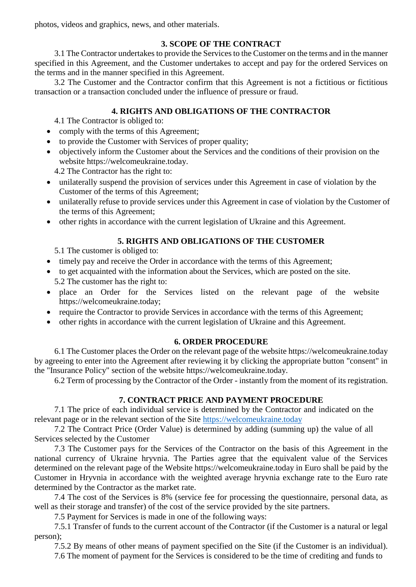photos, videos and graphics, news, and other materials.

## **3. SCOPE OF THE CONTRACT**

3.1 The Contractor undertakes to provide the Services to the Customer on the terms and in the manner specified in this Agreement, and the Customer undertakes to accept and pay for the ordered Services on the terms and in the manner specified in this Agreement.

3.2 The Customer and the Contractor confirm that this Agreement is not a fictitious or fictitious transaction or a transaction concluded under the influence of pressure or fraud.

# **4. RIGHTS AND OBLIGATIONS OF THE CONTRACTOR**

4.1 The Contractor is obliged to:

- comply with the terms of this Agreement;
- to provide the Customer with Services of proper quality;
- objectively inform the Customer about the Services and the conditions of their provision on the website https://welcomeukraine.today.

4.2 The Contractor has the right to:

- unilaterally suspend the provision of services under this Agreement in case of violation by the Customer of the terms of this Agreement;
- unilaterally refuse to provide services under this Agreement in case of violation by the Customer of the terms of this Agreement;
- other rights in accordance with the current legislation of Ukraine and this Agreement.

# **5. RIGHTS AND OBLIGATIONS OF THE CUSTOMER**

5.1 The customer is obliged to:

- timely pay and receive the Order in accordance with the terms of this Agreement;
- to get acquainted with the information about the Services, which are posted on the site. 5.2 The customer has the right to:
- place an Order for the Services listed on the relevant page of the website https://welcomeukraine.today;
- require the Contractor to provide Services in accordance with the terms of this Agreement;
- other rights in accordance with the current legislation of Ukraine and this Agreement.

## **6. ORDER PROCEDURE**

6.1 The Customer places the Order on the relevant page of the website https://welcomeukraine.today by agreeing to enter into the Agreement after reviewing it by clicking the appropriate button "consent" in the "Insurance Policy" section of the website https://welcomeukraine.today.

6.2 Term of processing by the Contractor of the Order - instantly from the moment of its registration.

# **7. CONTRACT PRICE AND PAYMENT PROCEDURE**

7.1 The price of each individual service is determined by the Contractor and indicated on the relevant page or in the relevant section of the Site [https://welcomeukraine.today](https://welcomeukraine.today/)

7.2 The Contract Price (Order Value) is determined by adding (summing up) the value of all Services selected by the Customer

7.3 The Customer pays for the Services of the Contractor on the basis of this Agreement in the national currency of Ukraine hryvnia. The Parties agree that the equivalent value of the Services determined on the relevant page of the Website https://welcomeukraine.today in Euro shall be paid by the Customer in Hryvnia in accordance with the weighted average hryvnia exchange rate to the Euro rate determined by the Contractor as the market rate.

7.4 The cost of the Services is 8% (service fee for processing the questionnaire, personal data, as well as their storage and transfer) of the cost of the service provided by the site partners.

7.5 Payment for Services is made in one of the following ways:

7.5.1 Transfer of funds to the current account of the Contractor (if the Customer is a natural or legal person);

7.5.2 By means of other means of payment specified on the Site (if the Customer is an individual).

7.6 The moment of payment for the Services is considered to be the time of crediting and funds to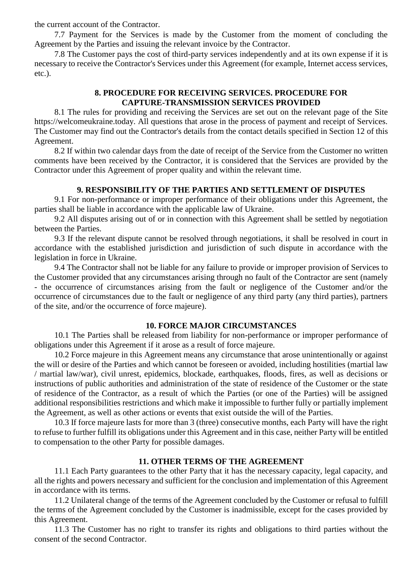the current account of the Contractor.

7.7 Payment for the Services is made by the Customer from the moment of concluding the Agreement by the Parties and issuing the relevant invoice by the Contractor.

7.8 The Customer pays the cost of third-party services independently and at its own expense if it is necessary to receive the Contractor's Services under this Agreement (for example, Internet access services, etc.).

## **8. PROCEDURE FOR RECEIVING SERVICES. PROCEDURE FOR CAPTURE-TRANSMISSION SERVICES PROVIDED**

8.1 The rules for providing and receiving the Services are set out on the relevant page of the Site https://welcomeukraine.today. All questions that arose in the process of payment and receipt of Services. The Customer may find out the Contractor's details from the contact details specified in Section 12 of this Agreement.

8.2 If within two calendar days from the date of receipt of the Service from the Customer no written comments have been received by the Contractor, it is considered that the Services are provided by the Contractor under this Agreement of proper quality and within the relevant time.

## **9. RESPONSIBILITY OF THE PARTIES AND SETTLEMENT OF DISPUTES**

9.1 For non-performance or improper performance of their obligations under this Agreement, the parties shall be liable in accordance with the applicable law of Ukraine.

9.2 All disputes arising out of or in connection with this Agreement shall be settled by negotiation between the Parties.

9.3 If the relevant dispute cannot be resolved through negotiations, it shall be resolved in court in accordance with the established jurisdiction and jurisdiction of such dispute in accordance with the legislation in force in Ukraine.

9.4 The Contractor shall not be liable for any failure to provide or improper provision of Services to the Customer provided that any circumstances arising through no fault of the Contractor are sent (namely - the occurrence of circumstances arising from the fault or negligence of the Customer and/or the occurrence of circumstances due to the fault or negligence of any third party (any third parties), partners of the site, and/or the occurrence of force majeure).

### **10. FORCE MAJOR CIRCUMSTANCES**

10.1 The Parties shall be released from liability for non-performance or improper performance of obligations under this Agreement if it arose as a result of force majeure.

10.2 Force majeure in this Agreement means any circumstance that arose unintentionally or against the will or desire of the Parties and which cannot be foreseen or avoided, including hostilities (martial law / martial law/war), civil unrest, epidemics, blockade, earthquakes, floods, fires, as well as decisions or instructions of public authorities and administration of the state of residence of the Customer or the state of residence of the Contractor, as a result of which the Parties (or one of the Parties) will be assigned additional responsibilities restrictions and which make it impossible to further fully or partially implement the Agreement, as well as other actions or events that exist outside the will of the Parties.

10.3 If force majeure lasts for more than 3 (three) consecutive months, each Party will have the right to refuse to further fulfill its obligations under this Agreement and in this case, neither Party will be entitled to compensation to the other Party for possible damages.

### **11. OTHER TERMS OF THE AGREEMENT**

11.1 Each Party guarantees to the other Party that it has the necessary capacity, legal capacity, and all the rights and powers necessary and sufficient for the conclusion and implementation of this Agreement in accordance with its terms.

11.2 Unilateral change of the terms of the Agreement concluded by the Customer or refusal to fulfill the terms of the Agreement concluded by the Customer is inadmissible, except for the cases provided by this Agreement.

11.3 The Customer has no right to transfer its rights and obligations to third parties without the consent of the second Contractor.